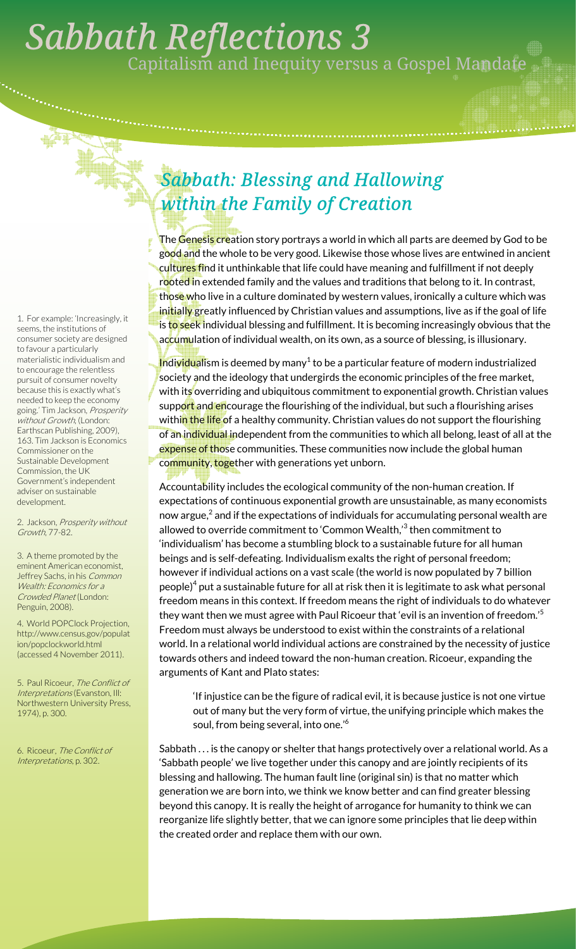## . *Sabbath Reflections 3*  Capitalism and Inequity versus a Gospel Mandate

## *Sabbath: Blessing and Hallowing within the Family of Creation*

The Genesis creation story portrays a world in which all parts are deemed by God to be good and the whole to be very good. Likewise those whose lives are entwined in ancient cu<mark>ltures fi</mark>nd it unthinkable that life could have meaning and fulfillment if not deeply rooted in extended family and the values and traditions that belong to it. In contrast, th<mark>ose w</mark>ho live in a culture dominated by western values, ironically a culture which was initially greatly influenced by Christian values and assumptions, live as if the goal of life is <mark>to se</mark>ek individual blessing and fulfillment. It is becoming increasingly obvious that the ac<mark>cumu</mark>lation of individual wealth, on its own, as a source of blessing, is illusionary.

Individualism is deemed by many $^1$  to be a particular feature of modern industrialized society and the ideology that undergirds the economic principles of the free market, with its overriding and ubiquitous commitment to exponential growth. Christian values support and encourage the flourishing of the individual, but such a flourishing arises withi<mark>n the life</mark> of a healthy community. Christian values do not support the flourishing of an individual independent from the communities to which all belong, least of all at the expense of those communities. These communities now include the global human community, together with generations yet unborn.

Accountability includes the ecological community of the non-human creation. If expectations of continuous exponential growth are unsustainable, as many economists now argue, $^2$  and if the expectations of individuals for accumulating personal wealth are allowed to override commitment to 'Common Wealth,' $^3$  then commitment to 'individualism' has become a stumbling block to a sustainable future for all human beings and is self-defeating. Individualism exalts the right of personal freedom; however if individual actions on a vast scale (the world is now populated by 7 billion people) $^4$  put a sustainable future for all at risk then it is legitimate to ask what personal freedom means in this context. If freedom means the right of individuals to do whatever they want then we must agree with Paul Ricoeur that 'evil is an invention of freedom.'<sup>5</sup> Freedom must always be understood to exist within the constraints of a relational world. In a relational world individual actions are constrained by the necessity of justice towards others and indeed toward the non-human creation. Ricoeur, expanding the arguments of Kant and Plato states:

'If injustice can be the figure of radical evil, it is because justice is not one virtue out of many but the very form of virtue, the unifying principle which makes the soul, from being several, into one.'<sup>6</sup>

Sabbath . . . is the canopy or shelter that hangs protectively over a relational world. As a 'Sabbath people' we live together under this canopy and are jointly recipients of its blessing and hallowing. The human fault line (original sin) is that no matter which generation we are born into, we think we know better and can find greater blessing beyond this canopy. It is really the height of arrogance for humanity to think we can reorganize life slightly better, that we can ignore some principles that lie deep within the created order and replace them with our own.

1. For example: 'Increasingly, it seems, the institutions of consumer society are designed to favour a particularly materialistic individualism and to encourage the relentless pursuit of consumer novelty because this is exactly what's needed to keep the economy going.' Tim Jackson, Prosperity without Growth, (London: Earthscan Publishing, 2009), 163. Tim Jackson is Economics Commissioner on the Sustainable Development Commission, the UK Government's independent adviser on sustainable development.

2. Jackson, Prosperity without Growth, 77-82.

3. A theme promoted by the eminent American economist, Jeffrey Sachs, in his Common Wealth: Economics for a Crowded Planet (London: Penguin, 2008).

4. World POPClock Projection, http://www.census.gov/populat ion/popclockworld.html (accessed 4 November 2011).

5. Paul Ricoeur, The Conflict of Interpretations (Evanston, Ill: Northwestern University Press, 1974), p. 300.

6. Ricoeur, The Conflict of Interpretations, p. 302.